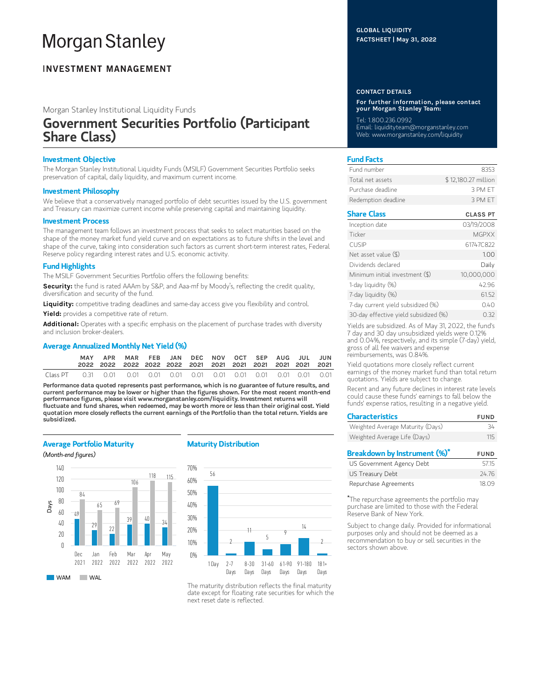# **Morgan Stanley**

### **INVESTMENT MANAGEMENT**

Morgan Stanley Institutional Liquidity Funds

## Government Securities Portfolio (Participant Share Class)

#### Investment Objective

The Morgan Stanley Institutional Liquidity Funds (MSILF) Government Securities Portfolio seeks preservation of capital, daily liquidity, and maximum current income.

#### Investment Philosophy

We believe that a conservatively managed portfolio of debt securities issued by the U.S. government and Treasury can maximize current income while preserving capital and maintaining liquidity.

#### Investment Process

The management team follows an investment process that seeks to select maturities based on the shape of the money market fund yield curve and on expectations as to future shifts in the level and shape of the curve, taking into consideration such factors as current short-term interest rates, Federal Reserve policy regarding interest rates and U.S. economic activity.

#### Fund Highlights

The MSILF Government Securities Portfolio offers the following benefits:

Security: the fund is rated AAAm by S&P, and Aaa-mf by Moody's, reflecting the credit quality, diversification and security of the fund.

Liquidity: competitive trading deadlines and same-day access give you flexibility and control.

Yield: provides a competitive rate of return.

Additional: Operates with a specific emphasis on the placement of purchase trades with diversity and inclusion broker-dealers.

#### Average Annualized Monthly Net Yield (%)

|          | <b>MAY</b> | APR | MAR FEB JAN DEC NOV OCT SEP AUG JUL JUN |  |  |  |  |  |
|----------|------------|-----|-----------------------------------------|--|--|--|--|--|
| Class PT |            |     |                                         |  |  |  |  |  |

Performance data quoted represents past performance, which is no guarantee of future results, and current performance may be lower or higher than the figures shown. For the most recent month-end performance figures, please visit www.morganstanley.com/liquidity. Investment returns will fluctuate and fund shares, when redeemed, may be worth more or less than their original cost. Yield quotation more closely reflects the current earnings of the Portfolio than the total return. Yields are subsidized.

#### Average Portfolio Maturity

(Month-end figures)



#### Maturity Distribution



The maturity distribution reflects the final maturity date except for floating rate securities for which the next reset date is reflected.

#### GLOBAL LIQUIDITY FACTSHEET | May 31, 2022

#### CONTACT DETAILS

For further information, please contact your Morgan Stanley Team:

Tel: 1.800.236.0992 Email: liquidityteam@morganstanley.com Web: www.morganstanley.com/liquidity

#### Fund Facts

| Fund number         | 8353                |
|---------------------|---------------------|
| Total net assets    | \$12,180.27 million |
| Purchase deadline.  | 3 PM FT             |
| Redemption deadline | 3 PM FT             |

#### Share Class CLASS PT

| Inception date                        | 03/19/2008   |
|---------------------------------------|--------------|
| Ticker                                | <b>MGPXX</b> |
| <b>CUSIP</b>                          | 61747C822    |
| Net asset value (\$)                  | 1.00         |
| Dividends declared                    | Daily        |
| Minimum initial investment (\$)       | 10,000,000   |
| 1-day liquidity (%)                   | 42.96        |
| 7-day liquidity (%)                   | 61.52        |
| 7-day current yield subsidized (%)    | 0.40         |
| 30-day effective yield subsidized (%) | O 32         |

Yields are subsidized. As of May 31, 2022, the fund's 7 day and 30 day unsubsidized yields were 0.12% and 0.04%, respectively, and its simple (7-day) yield, gross of all fee waivers and expense reimbursements, was 0.84%.

Yield quotations more closely reflect current earnings of the money market fund than total return quotations. Yields are subject to change.

Recent and any future declines in interest rate levels could cause these funds' earnings to fall below the funds' expense ratios, resulting in a negative yield.

| <b>Characteristics</b>           | <b>FUND</b> |
|----------------------------------|-------------|
| Weighted Average Maturity (Days) | 34          |
| Weighted Average Life (Days)     | 115         |
| Breakdown by Instrument (%)*     | <b>FUND</b> |
| US Government Agency Debt        | 5715        |
|                                  |             |

| US GOVERNMENT ARENCY DEDL | .הו.ות |
|---------------------------|--------|
| US Treasury Debt          | 24.76  |
| Repurchase Agreements     | 18.09  |

The repurchase agreements the portfolio may \*purchase are limited to those with the Federal Reserve Bank of New York.

Subject to change daily. Provided for informational purposes only and should not be deemed as a recommendation to buy or sell securities in the sectors shown above.